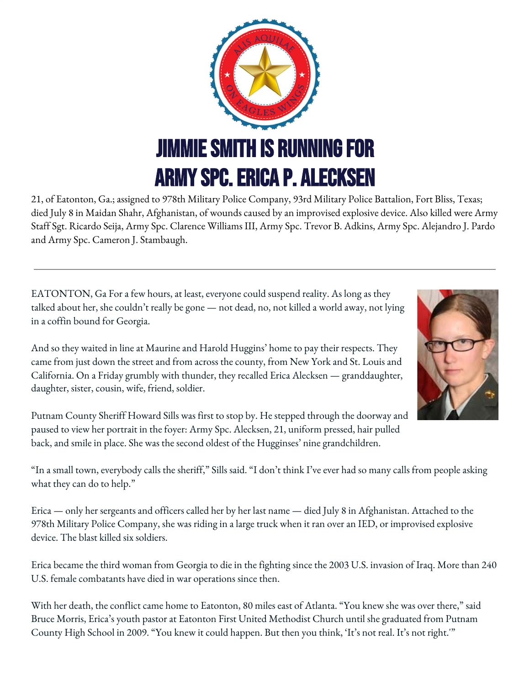

21, of Eatonton, Ga.; assigned to 978th Military Police Company, 93rd Military Police Battalion, Fort Bliss, Texas; died July 8 in Maidan Shahr, Afghanistan, of wounds caused by an improvised explosive device. Also killed were Army Staff Sgt. Ricardo Seija, Army Spc. Clarence Williams III, Army Spc. Trevor B. Adkins, Army Spc. Alejandro J. Pardo and Army Spc. Cameron J. Stambaugh.

EATONTON, Ga For a few hours, at least, everyone could suspend reality. As long as they talked about her, she couldn't really be gone — not dead, no, not killed a world away, not lying in a coffin bound for Georgia.

And so they waited in line at Maurine and Harold Huggins' home to pay their respects. They came from just down the street and from across the county, from New York and St. Louis and California. On a Friday grumbly with thunder, they recalled Erica Alecksen — granddaughter, daughter, sister, cousin, wife, friend, soldier.



"In a small town, everybody calls the sheriff," Sills said. "I don't think I've ever had so many calls from people asking what they can do to help."

Erica — only her sergeants and officers called her by her last name — died July 8 in Afghanistan. Attached to the 978th Military Police Company, she was riding in a large truck when it ran over an IED, or improvised explosive device. The blast killed six soldiers.

Erica became the third woman from Georgia to die in the fighting since the 2003 U.S. invasion of Iraq. More than 240 U.S. female combatants have died in war operations since then.

With her death, the conflict came home to Eatonton, 80 miles east of Atlanta. "You knew she was over there," said Bruce Morris, Erica's youth pastor at Eatonton First United Methodist Church until she graduated from Putnam County High School in 2009. "You knew it could happen. But then you think, 'It's not real. It's not right.'"

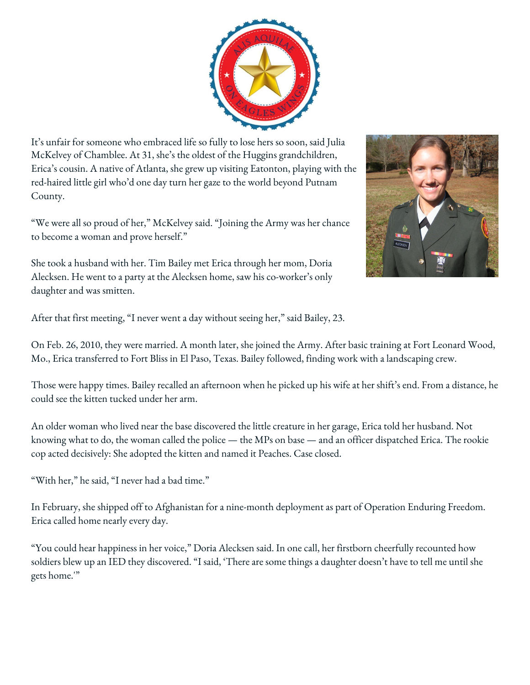It's unfair for someone who embraced life so fully to lose hers so soon, said Julia McKelvey of Chamblee. At 31, she's the oldest of the Huggins grandchildren, Erica's cousin. A native of Atlanta, she grew up visiting Eatonton, playing with the red-haired little girl who'd one day turn her gaze to the world beyond Putnam County.

"We were all so proud of her," McKelvey said. "Joining the Army was her chance to become a woman and prove herself."

She took a husband with her. Tim Bailey met Erica through her mom, Doria Alecksen. He went to a party at the Alecksen home, saw his co-worker's only daughter and was smitten.



After that first meeting, "I never went a day without seeing her," said Bailey, 23.

On Feb. 26, 2010, they were married. A month later, she joined the Army. After basic training at Fort Leonard Wood, Mo., Erica transferred to Fort Bliss in El Paso, Texas. Bailey followed, finding work with a landscaping crew.

Those were happy times. Bailey recalled an afternoon when he picked up his wife at her shift's end. From a distance, he could see the kitten tucked under her arm.

An older woman who lived near the base discovered the little creature in her garage, Erica told her husband. Not knowing what to do, the woman called the police — the MPs on base — and an officer dispatched Erica. The rookie cop acted decisively: She adopted the kitten and named it Peaches. Case closed.

"With her," he said, "I never had a bad time."

In February, she shipped off to Afghanistan for a nine-month deployment as part of Operation Enduring Freedom. Erica called home nearly every day.

"You could hear happiness in her voice," Doria Alecksen said. In one call, her firstborn cheerfully recounted how soldiers blew up an IED they discovered. "I said, 'There are some things a daughter doesn't have to tell me until she gets home.'"